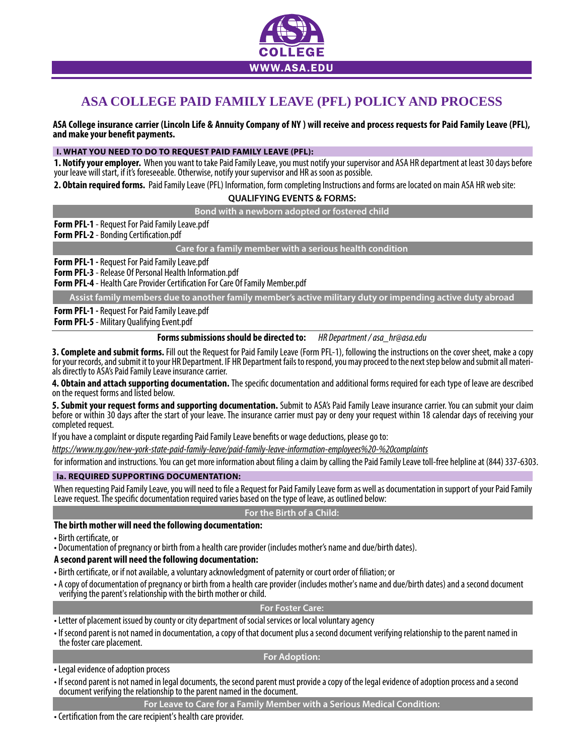

# **ASA COLLEGE PAID FAMILY LEAVE (PFL) POLICY AND PROCESS**

**ASA College insurance carrier (Lincoln Life & Annuity Company of NY ) will receive and process requests for Paid Family Leave (PFL),**  and make your benefit payments.

## **I. WHAT YOU NEED TO DO TO REQUEST PAID FAMILY LEAVE (PFL):**

1. Notify your employer. When you want to take Paid Family Leave, you must notify your supervisor and ASA HR department at least 30 days before your leave will start, if it's foreseeable. Otherwise, notify your supervisor

**2. Obtain required forms.** Paid Family Leave (PFL) Information, form completing Instructions and forms are located on main ASA HR web site:

## **QUALIFYING EVENTS & FORMS:**

**Bond with a newborn adopted or fostered child**

**Form PFL-1** - Request For Paid Family Leave.pdf

**Form PFL-2** - Bonding Certification.pdf

**Care for a family member with a serious health condition**

**Form PFL-1 -** Request For Paid Family Leave.pdf

**Form PFL-3** - Release Of Personal Health Information.pdf

**Form PFL-4** - Health Care Provider Certification For Care Of Family Member.pdf

**Assist family members due to another family member's active military duty or impending active duty abroad**

**Form PFL-1 -** Request For Paid Family Leave.pdf

**Form PFL-5** - Military Qualifying Event.pdf

## **Forms submissions should be directed to:** *HR Department / asa\_hr@asa.edu*

3. Complete and submit forms. Fill out the Request for Paid Family Leave (Form PFL-1), following the instructions on the cover sheet, make a copy for your records, and submit it to your HR Department. IF HR Department fail

**4. Obtain and attach supporting documentation.** The specific documentation and additional forms required for each type of leave are described on the request forms and listed below.

5. Submit your request forms and supporting documentation. Submit to ASA's Paid Family Leave insurance carrier. You can submit your claim<br>before or within 30 days after the start of your leave. The insurance carrier must p completed request.

If you have a complaint or dispute regarding Paid Family Leave benefits or wage deductions, please go to:

*https://www.ny.gov/new-york-state-paid-family-leave/paid-family-leave-information-employees%20-%20complaints*

for information and instructions. You can get more information about filing a claim by calling the Paid Family Leave toll-free helpline at (844) 337-6303.

## **Ia. REQUIRED SUPPORTING DOCUMENTATION:**

When requesting Paid Family Leave, you will need to file a Request for Paid Family Leave form as well as documentation in support of your Paid Family Leave request. The specific documentation required varies based on the type of leave, as outlined below:

## **For the Birth of a Child:**

## **The birth mother will need the following documentation:**

• Birth certificate, or

• Documentation of pregnancy or birth from a health care provider (includes mother's name and due/birth dates).

## **A second parent will need the following documentation:**

- Birth certificate, or if not available, a voluntary acknowledgment of paternity or court order of filiation; or
- A copy of documentation of pregnancy or birth from a health care provider (includes mother's name and due/birth dates) and a second document verifying the parent's relationship with the birth mother or child.

# **For Foster Care:**

• Letter of placement issued by county or city department of social services or local voluntary agency

• If second parent is not named in documentation, a copy of that document plus a second document verifying relationship to the parent named in the foster care placement.

**For Adoption:**

## • Legal evidence of adoption process

• If second parent is not named in legal documents, the second parent must provide a copy of the legal evidence of adoption process and a second document verifying the relationship to the parent named in the document.

• Certification from the care recipient's health care provider.